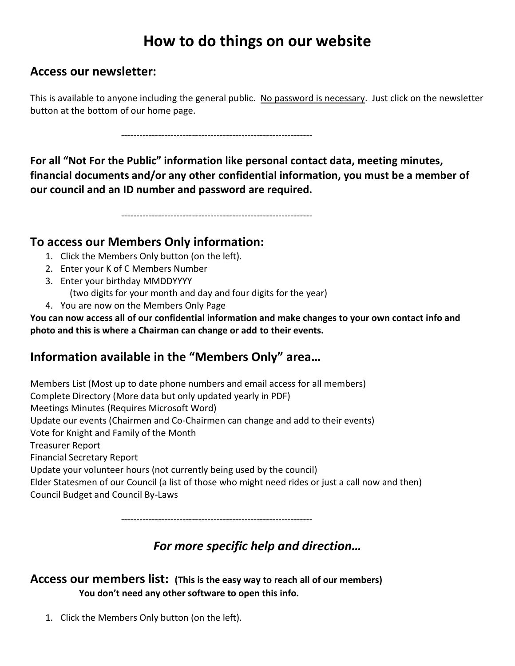# **How to do things on our website**

### **Access our newsletter:**

This is available to anyone including the general public. No password is necessary. Just click on the newsletter button at the bottom of our home page.

--------------------------------------------------------------

**For all "Not For the Public" information like personal contact data, meeting minutes, financial documents and/or any other confidential information, you must be a member of our council and an ID number and password are required.**

--------------------------------------------------------------

### **To access our Members Only information:**

- 1. Click the Members Only button (on the left).
- 2. Enter your K of C Members Number
- 3. Enter your birthday MMDDYYYY
	- (two digits for your month and day and four digits for the year)
- 4. You are now on the Members Only Page

**You can now access all of our confidential information and make changes to your own contact info and photo and this is where a Chairman can change or add to their events.**

## **Information available in the "Members Only" area…**

Members List (Most up to date phone numbers and email access for all members) Complete Directory (More data but only updated yearly in PDF) Meetings Minutes (Requires Microsoft Word) Update our events (Chairmen and Co-Chairmen can change and add to their events) Vote for Knight and Family of the Month Treasurer Report Financial Secretary Report Update your volunteer hours (not currently being used by the council) Elder Statesmen of our Council (a list of those who might need rides or just a call now and then) Council Budget and Council By-Laws

--------------------------------------------------------------

## *For more specific help and direction…*

#### **Access our members list: (This is the easy way to reach all of our members) You don't need any other software to open this info.**

1. Click the Members Only button (on the left).